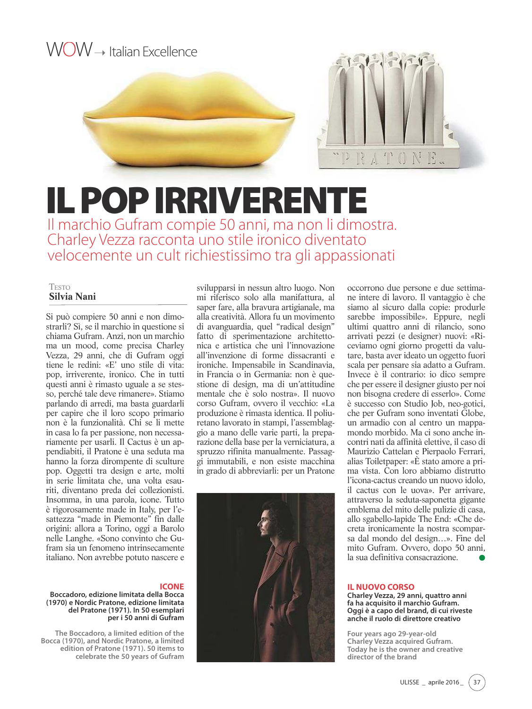

# IL POP IRRIVERENTE

Il marchio Gufram compie 50 anni, ma non li dimostra. Charley Vezza racconta uno stile ironico diventato velocemente un cult richiestissimo tra gli appassionati

#### TESTO **Silvia Nani**

Si può compiere 50 anni e non dimostrarli? Sì, se il marchio in questione si chiama Gufram. Anzi, non un marchio ma un mood, come precisa Charley Vezza, 29 anni, che di Gufram oggi tiene le redini: «E' uno stile di vita: pop, irriverente, ironico. Che in tutti questi anni è rimasto uguale a se stesso, perché tale deve rimanere». Stiamo parlando di arredi, ma basta guardarli per capire che il loro scopo primario non è la funzionalità. Chi se li mette in casa lo fa per passione, non necessariamente per usarli. Il Cactus è un appendiabiti, il Pratone è una seduta ma hanno la forza dirompente di sculture pop. Oggetti tra design e arte, molti in serie limitata che, una volta esauriti, diventano preda dei collezionisti. Insomma, in una parola, icone. Tutto è rigorosamente made in Italy, per l'esattezza "made in Piemonte" fin dalle origini: allora a Torino, oggi a Barolo nelle Langhe. «Sono convinto che Gufram sia un fenomeno intrinsecamente italiano. Non avrebbe potuto nascere e

### **ICONE**

**Boccadoro, edizione limitata della Bocca (1970) e Nordic Pratone, edizione limitata del Pratone (1971). In 50 esemplari per i 50 anni di Gufram**

**The Boccadoro, a limited edition of the Bocca (1970), and Nordic Pratone, a limited edition of Pratone (1971). 50 items to celebrate the 50 years of Gufram**

svilupparsi in nessun altro luogo. Non mi riferisco solo alla manifattura, al saper fare, alla bravura artigianale, ma alla creatività. Allora fu un movimento di avanguardia, quel "radical design" fatto di sperimentazione architettonica e artistica che unì l'innovazione all'invenzione di forme dissacranti e ironiche. Impensabile in Scandinavia, in Francia o in Germania: non è questione di design, ma di un'attitudine mentale che è solo nostra». Il nuovo corso Gufram, ovvero il vecchio: «La produzione è rimasta identica. Il poliuretano lavorato in stampi, l'assemblaggio a mano delle varie parti, la preparazione della base per la verniciatura, a spruzzo rifinita manualmente. Passaggi immutabili, e non esiste macchina in grado di abbreviarli: per un Pratone



occorrono due persone e due settimane intere di lavoro. Il vantaggio è che siamo al sicuro dalla copie: produrle sarebbe impossibile». Eppure, negli ultimi quattro anni di rilancio, sono arrivati pezzi (e designer) nuovi: «Riceviamo ogni giorno progetti da valutare, basta aver ideato un oggetto fuori scala per pensare sia adatto a Gufram. Invece è il contrario: io dico sempre che per essere il designer giusto per noi non bisogna credere di esserlo». Come è successo con Studio Job, neo-gotici, che per Gufram sono inventati Globe, un armadio con al centro un mappamondo morbido. Ma ci sono anche incontri nati da affinità elettive, il caso di Maurizio Cattelan e Pierpaolo Ferrari, alias Toiletpaper: «È stato amore a prima vista. Con loro abbiamo distrutto l'icona-cactus creando un nuovo idolo, il cactus con le uova». Per arrivare, attraverso la seduta-saponetta gigante emblema del mito delle pulizie di casa, allo sgabello-lapide The End: «Che decreta ironicamente la nostra scomparsa dal mondo del design…». Fine del mito Gufram. Ovvero, dopo 50 anni, la sua definitiva consacrazione.

#### **IL NUOVO CORSO**

**Charley Vezza, 29 anni, quattro anni fa ha acquisito il marchio Gufram. Oggi è a capo del brand, di cui riveste anche il ruolo di direttore creativo**

**Four years ago 29-year-old Charley Vezza acquired Gufram. Today he is the owner and creative director of the brand**